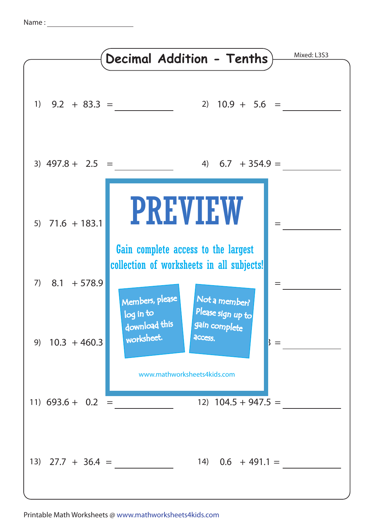